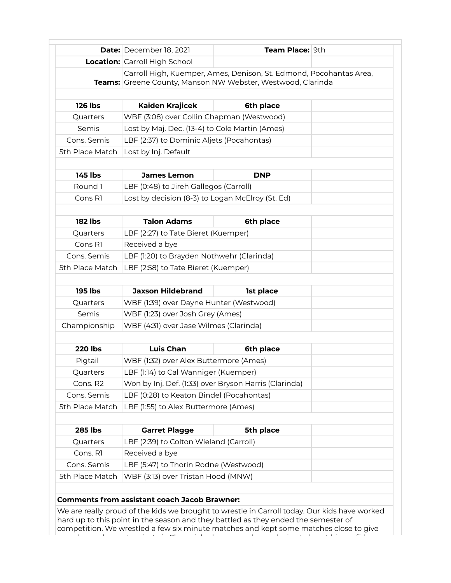|                         | <b>Date:</b> December 18, 2021                          | Team Place: 9th                                                                                                                   |  |
|-------------------------|---------------------------------------------------------|-----------------------------------------------------------------------------------------------------------------------------------|--|
|                         | <b>Location:</b> Carroll High School                    |                                                                                                                                   |  |
|                         |                                                         | Carroll High, Kuemper, Ames, Denison, St. Edmond, Pocohantas Area,<br>Teams: Greene County, Manson NW Webster, Westwood, Clarinda |  |
| <b>126 lbs</b>          | <b>Kaiden Krajicek</b>                                  | 6th place                                                                                                                         |  |
| Quarters                | WBF (3:08) over Collin Chapman (Westwood)               |                                                                                                                                   |  |
| Semis                   | Lost by Maj. Dec. (13-4) to Cole Martin (Ames)          |                                                                                                                                   |  |
| Cons. Semis             | LBF (2:37) to Dominic Aljets (Pocahontas)               |                                                                                                                                   |  |
| 5th Place Match         | Lost by Inj. Default                                    |                                                                                                                                   |  |
| <b>145 lbs</b>          | <b>James Lemon</b>                                      | <b>DNP</b>                                                                                                                        |  |
| Round 1                 | LBF (0:48) to Jireh Gallegos (Carroll)                  |                                                                                                                                   |  |
| Cons R1                 | Lost by decision (8-3) to Logan McElroy (St. Ed)        |                                                                                                                                   |  |
|                         |                                                         |                                                                                                                                   |  |
| <b>182 lbs</b>          | <b>Talon Adams</b>                                      | 6th place                                                                                                                         |  |
| Quarters                | LBF (2:27) to Tate Bieret (Kuemper)                     |                                                                                                                                   |  |
| Cons R1                 | Received a bye                                          |                                                                                                                                   |  |
| Cons. Semis             | LBF (1:20) to Brayden Nothwehr (Clarinda)               |                                                                                                                                   |  |
| 5th Place Match         | LBF (2:58) to Tate Bieret (Kuemper)                     |                                                                                                                                   |  |
| <b>195 lbs</b>          | <b>Jaxson Hildebrand</b>                                | 1st place                                                                                                                         |  |
| Quarters                | WBF (1:39) over Dayne Hunter (Westwood)                 |                                                                                                                                   |  |
| Semis                   | WBF (1:23) over Josh Grey (Ames)                        |                                                                                                                                   |  |
| Championship            | WBF (4:31) over Jase Wilmes (Clarinda)                  |                                                                                                                                   |  |
| <b>220 lbs</b>          | <b>Luis Chan</b>                                        | 6th place                                                                                                                         |  |
| Pigtail                 | WBF (1:32) over Alex Buttermore (Ames)                  |                                                                                                                                   |  |
| Quarters                | LBF (1:14) to Cal Wanniger (Kuemper)                    |                                                                                                                                   |  |
| Cons. R2                | Won by Inj. Def. (1:33) over Bryson Harris (Clarinda)   |                                                                                                                                   |  |
| Cons. Semis             | LBF (0:28) to Keaton Bindel (Pocahontas)                |                                                                                                                                   |  |
| 5th Place Match         | LBF (1:55) to Alex Buttermore (Ames)                    |                                                                                                                                   |  |
|                         |                                                         |                                                                                                                                   |  |
|                         | <b>Garret Plagge</b>                                    | 5th place                                                                                                                         |  |
| <b>285 lbs</b>          |                                                         |                                                                                                                                   |  |
| Quarters                | LBF (2:39) to Colton Wieland (Carroll)                  |                                                                                                                                   |  |
| Cons. R1<br>Cons. Semis | Received a bye<br>LBF (5:47) to Thorin Rodne (Westwood) |                                                                                                                                   |  |

**Comments from assistant coach Jacob Brawner:**

We are really proud of the kids we brought to wrestle in Carroll today. Our kids have worked hard up to this point in the season and they battled as they ended the semester of competition. We wrestled a few six minute matches and kept some matches close to give ourselves a chance to win. Luis Chan picked up a couple good wins to boost his confidence,